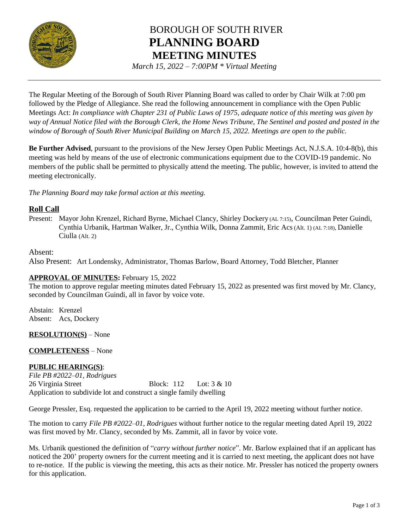

# BOROUGH OF SOUTH RIVER **PLANNING BOARD MEETING MINUTES**

*March 15, 2022 – 7:00PM \* Virtual Meeting*

The Regular Meeting of the Borough of South River Planning Board was called to order by Chair Wilk at 7:00 pm followed by the Pledge of Allegiance. She read the following announcement in compliance with the Open Public Meetings Act: *In compliance with Chapter 231 of Public Laws of 1975, adequate notice of this meeting was given by way of Annual Notice filed with the Borough Clerk, the Home News Tribune, The Sentinel and posted and posted in the window of Borough of South River Municipal Building on March 15, 2022. Meetings are open to the public.*

**Be Further Advised**, pursuant to the provisions of the New Jersey Open Public Meetings Act, N.J.S.A. 10:4-8(b), this meeting was held by means of the use of electronic communications equipment due to the COVID-19 pandemic. No members of the public shall be permitted to physically attend the meeting. The public, however, is invited to attend the meeting electronically.

*The Planning Board may take formal action at this meeting.*

# **Roll Call**

Present: Mayor John Krenzel, Richard Byrne, Michael Clancy, Shirley Dockery (AL 7:15), Councilman Peter Guindi, Cynthia Urbanik, Hartman Walker, Jr., Cynthia Wilk, Donna Zammit, Eric Acs(Alt. 1) (AL 7:18), Danielle Ciulla (Alt. 2)

## Absent:

Also Present: Art Londensky, Administrator, Thomas Barlow, Board Attorney, Todd Bletcher, Planner

# **APPROVAL OF MINUTES:** February 15, 2022

The motion to approve regular meeting minutes dated February 15, 2022 as presented was first moved by Mr. Clancy, seconded by Councilman Guindi, all in favor by voice vote.

Abstain: Krenzel Absent: Acs, Dockery

**RESOLUTION(S)** – None

#### **COMPLETENESS** – None

# **PUBLIC HEARING(S)**:

*File PB #2022–01, Rodrigues* 26 Virginia Street Block: 112 Lot: 3 & 10 Application to subdivide lot and construct a single family dwelling

George Pressler, Esq. requested the application to be carried to the April 19, 2022 meeting without further notice.

The motion to carry *File PB #2022–01, Rodrigues* without further notice to the regular meeting dated April 19, 2022 was first moved by Mr. Clancy, seconded by Ms. Zammit, all in favor by voice vote.

Ms. Urbanik questioned the definition of "*carry without further notice*". Mr. Barlow explained that if an applicant has noticed the 200' property owners for the current meeting and it is carried to next meeting, the applicant does not have to re-notice. If the public is viewing the meeting, this acts as their notice. Mr. Pressler has noticed the property owners for this application.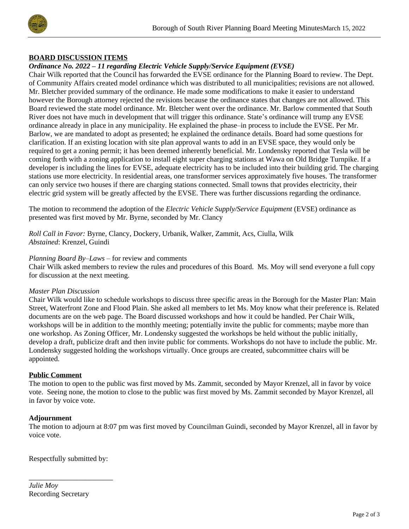

## **BOARD DISCUSSION ITEMS**

## *Ordinance No. 2022 – 11 regarding Electric Vehicle Supply/Service Equipment (EVSE)*

Chair Wilk reported that the Council has forwarded the EVSE ordinance for the Planning Board to review. The Dept. of Community Affairs created model ordinance which was distributed to all municipalities; revisions are not allowed. Mr. Bletcher provided summary of the ordinance. He made some modifications to make it easier to understand however the Borough attorney rejected the revisions because the ordinance states that changes are not allowed. This Board reviewed the state model ordinance. Mr. Bletcher went over the ordinance. Mr. Barlow commented that South River does not have much in development that will trigger this ordinance. State's ordinance will trump any EVSE ordinance already in place in any municipality. He explained the phase–in process to include the EVSE. Per Mr. Barlow, we are mandated to adopt as presented; he explained the ordinance details. Board had some questions for clarification. If an existing location with site plan approval wants to add in an EVSE space, they would only be required to get a zoning permit; it has been deemed inherently beneficial. Mr. Londensky reported that Tesla will be coming forth with a zoning application to install eight super charging stations at Wawa on Old Bridge Turnpike. If a developer is including the lines for EVSE, adequate electricity has to be included into their building grid. The charging stations use more electricity. In residential areas, one transformer services approximately five houses. The transformer can only service two houses if there are charging stations connected. Small towns that provides electricity, their electric grid system will be greatly affected by the EVSE. There was further discussions regarding the ordinance.

The motion to recommend the adoption of the *Electric Vehicle Supply/Service Equipment* (EVSE) ordinance as presented was first moved by Mr. Byrne, seconded by Mr. Clancy

*Roll Call in Favor:* Byrne, Clancy, Dockery, Urbanik, Walker, Zammit, Acs, Ciulla, Wilk *Abstained*: Krenzel, Guindi

#### *Planning Board By–Laws* – for review and comments

Chair Wilk asked members to review the rules and procedures of this Board. Ms. Moy will send everyone a full copy for discussion at the next meeting.

#### *Master Plan Discussion*

Chair Wilk would like to schedule workshops to discuss three specific areas in the Borough for the Master Plan: Main Street, Waterfront Zone and Flood Plain. She asked all members to let Ms. Moy know what their preference is. Related documents are on the web page. The Board discussed workshops and how it could be handled. Per Chair Wilk, workshops will be in addition to the monthly meeting; potentially invite the public for comments; maybe more than one workshop. As Zoning Officer, Mr. Londensky suggested the workshops be held without the public initially, develop a draft, publicize draft and then invite public for comments. Workshops do not have to include the public. Mr. Londensky suggested holding the workshops virtually. Once groups are created, subcommittee chairs will be appointed.

#### **Public Comment**

The motion to open to the public was first moved by Ms. Zammit, seconded by Mayor Krenzel, all in favor by voice vote. Seeing none, the motion to close to the public was first moved by Ms. Zammit seconded by Mayor Krenzel, all in favor by voice vote.

#### **Adjournment**

The motion to adjourn at 8:07 pm was first moved by Councilman Guindi, seconded by Mayor Krenzel, all in favor by voice vote.

Respectfully submitted by:

\_\_\_\_\_\_\_\_\_\_\_\_\_\_\_\_\_\_\_\_\_

*Julie Moy* Recording Secretary